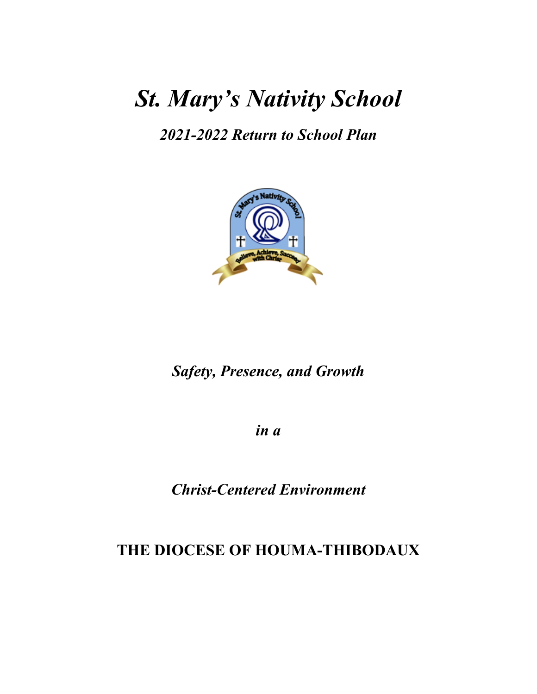# *St. Mary's Nativity School*

*2021-2022 Return to School Plan*



# *Safety, Presence, and Growth*

*in a*

*Christ-Centered Environment*

## **THE DIOCESE OF HOUMA-THIBODAUX**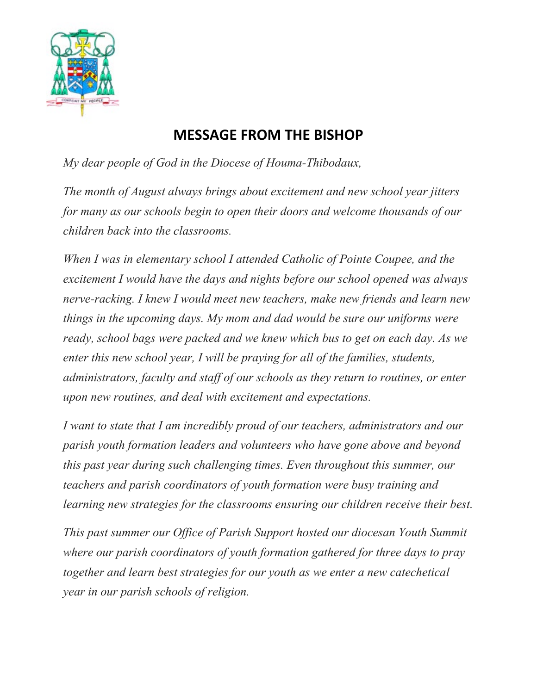

# **MESSAGE FROM THE BISHOP**

*My dear people of God in the Diocese of Houma-Thibodaux,*

*The month of August always brings about excitement and new school year jitters for many as our schools begin to open their doors and welcome thousands of our children back into the classrooms.* 

*When I was in elementary school I attended Catholic of Pointe Coupee, and the excitement I would have the days and nights before our school opened was always nerve-racking. I knew I would meet new teachers, make new friends and learn new things in the upcoming days. My mom and dad would be sure our uniforms were ready, school bags were packed and we knew which bus to get on each day. As we enter this new school year, I will be praying for all of the families, students, administrators, faculty and staff of our schools as they return to routines, or enter upon new routines, and deal with excitement and expectations.*

*I want to state that I am incredibly proud of our teachers, administrators and our parish youth formation leaders and volunteers who have gone above and beyond this past year during such challenging times. Even throughout this summer, our teachers and parish coordinators of youth formation were busy training and learning new strategies for the classrooms ensuring our children receive their best.* 

*This past summer our Office of Parish Support hosted our diocesan Youth Summit where our parish coordinators of youth formation gathered for three days to pray together and learn best strategies for our youth as we enter a new catechetical year in our parish schools of religion.*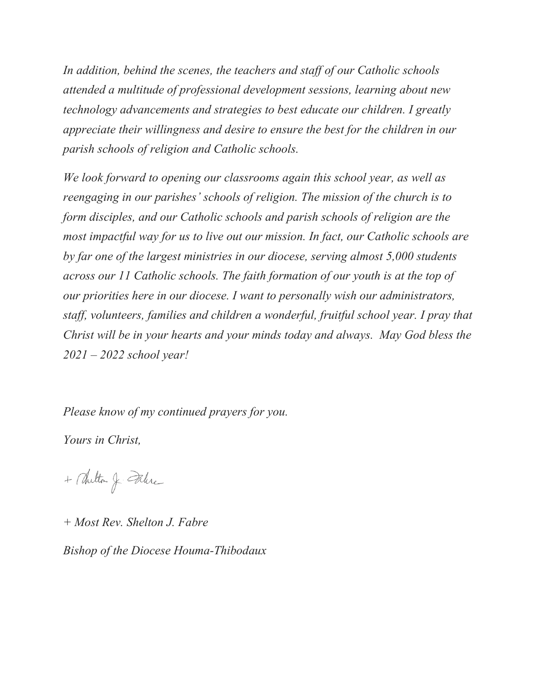*In addition, behind the scenes, the teachers and staff of our Catholic schools attended a multitude of professional development sessions, learning about new technology advancements and strategies to best educate our children. I greatly appreciate their willingness and desire to ensure the best for the children in our parish schools of religion and Catholic schools.* 

*We look forward to opening our classrooms again this school year, as well as reengaging in our parishes' schools of religion. The mission of the church is to form disciples, and our Catholic schools and parish schools of religion are the most impactful way for us to live out our mission. In fact, our Catholic schools are by far one of the largest ministries in our diocese, serving almost 5,000 students across our 11 Catholic schools. The faith formation of our youth is at the top of our priorities here in our diocese. I want to personally wish our administrators, staff, volunteers, families and children a wonderful, fruitful school year. I pray that Christ will be in your hearts and your minds today and always. May God bless the 2021 – 2022 school year!*

*Please know of my continued prayers for you.*

*Yours in Christ,*

+ Chilton J. Falire

*+ Most Rev. Shelton J. Fabre Bishop of the Diocese Houma-Thibodaux*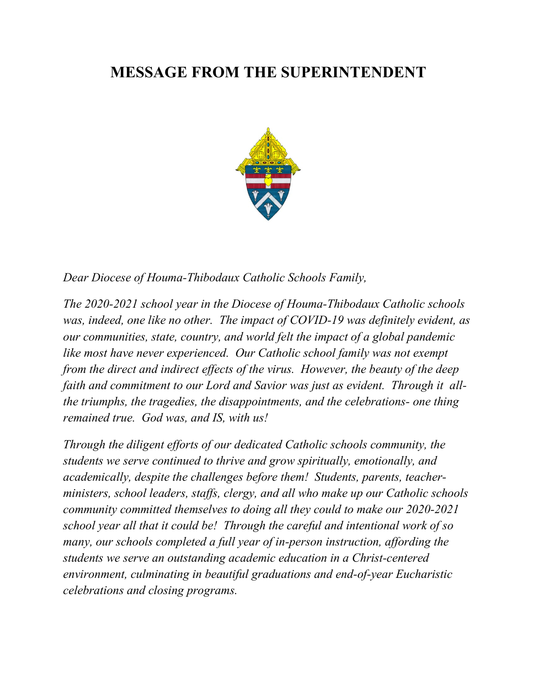# **MESSAGE FROM THE SUPERINTENDENT**



*Dear Diocese of Houma-Thibodaux Catholic Schools Family,*

*The 2020-2021 school year in the Diocese of Houma-Thibodaux Catholic schools was, indeed, one like no other. The impact of COVID-19 was definitely evident, as our communities, state, country, and world felt the impact of a global pandemic like most have never experienced. Our Catholic school family was not exempt from the direct and indirect effects of the virus. However, the beauty of the deep faith and commitment to our Lord and Savior was just as evident. Through it allthe triumphs, the tragedies, the disappointments, and the celebrations- one thing remained true. God was, and IS, with us!*

*Through the diligent efforts of our dedicated Catholic schools community, the students we serve continued to thrive and grow spiritually, emotionally, and academically, despite the challenges before them! Students, parents, teacherministers, school leaders, staffs, clergy, and all who make up our Catholic schools community committed themselves to doing all they could to make our 2020-2021 school year all that it could be! Through the careful and intentional work of so many, our schools completed a full year of in-person instruction, affording the students we serve an outstanding academic education in a Christ-centered environment, culminating in beautiful graduations and end-of-year Eucharistic celebrations and closing programs.*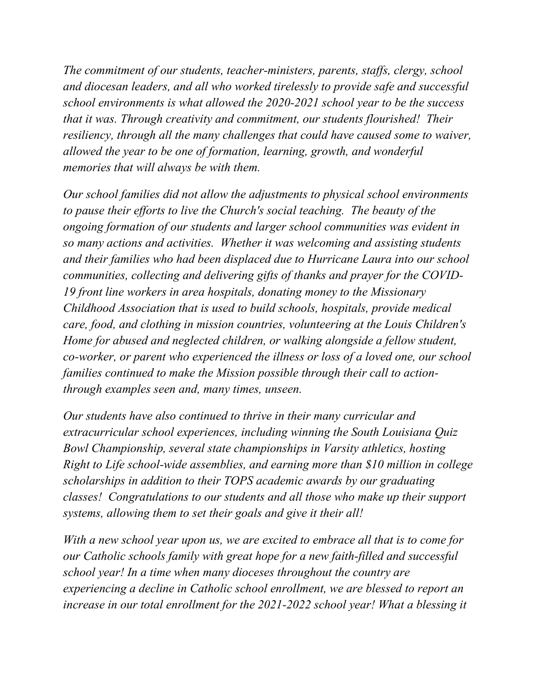*The commitment of our students, teacher-ministers, parents, staffs, clergy, school and diocesan leaders, and all who worked tirelessly to provide safe and successful school environments is what allowed the 2020-2021 school year to be the success that it was. Through creativity and commitment, our students flourished! Their resiliency, through all the many challenges that could have caused some to waiver, allowed the year to be one of formation, learning, growth, and wonderful memories that will always be with them.* 

*Our school families did not allow the adjustments to physical school environments to pause their efforts to live the Church's social teaching. The beauty of the ongoing formation of our students and larger school communities was evident in so many actions and activities. Whether it was welcoming and assisting students and their families who had been displaced due to Hurricane Laura into our school communities, collecting and delivering gifts of thanks and prayer for the COVID-19 front line workers in area hospitals, donating money to the Missionary Childhood Association that is used to build schools, hospitals, provide medical care, food, and clothing in mission countries, volunteering at the Louis Children's Home for abused and neglected children, or walking alongside a fellow student, co-worker, or parent who experienced the illness or loss of a loved one, our school families continued to make the Mission possible through their call to actionthrough examples seen and, many times, unseen.*

*Our students have also continued to thrive in their many curricular and extracurricular school experiences, including winning the South Louisiana Quiz Bowl Championship, several state championships in Varsity athletics, hosting Right to Life school-wide assemblies, and earning more than \$10 million in college scholarships in addition to their TOPS academic awards by our graduating classes! Congratulations to our students and all those who make up their support systems, allowing them to set their goals and give it their all!*

*With a new school year upon us, we are excited to embrace all that is to come for our Catholic schools family with great hope for a new faith-filled and successful school year! In a time when many dioceses throughout the country are experiencing a decline in Catholic school enrollment, we are blessed to report an increase in our total enrollment for the 2021-2022 school year! What a blessing it*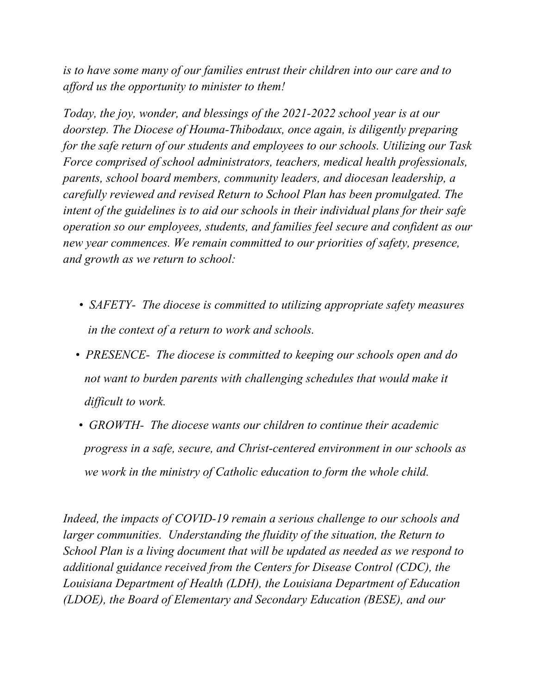*is to have some many of our families entrust their children into our care and to afford us the opportunity to minister to them!*

*Today, the joy, wonder, and blessings of the 2021-2022 school year is at our doorstep. The Diocese of Houma-Thibodaux, once again, is diligently preparing for the safe return of our students and employees to our schools. Utilizing our Task Force comprised of school administrators, teachers, medical health professionals, parents, school board members, community leaders, and diocesan leadership, a carefully reviewed and revised Return to School Plan has been promulgated. The intent of the guidelines is to aid our schools in their individual plans for their safe operation so our employees, students, and families feel secure and confident as our new year commences. We remain committed to our priorities of safety, presence, and growth as we return to school:*

- *SAFETY- The diocese is committed to utilizing appropriate safety measures in the context of a return to work and schools.*
- *PRESENCE- The diocese is committed to keeping our schools open and do not want to burden parents with challenging schedules that would make it difficult to work.*
- *GROWTH- The diocese wants our children to continue their academic progress in a safe, secure, and Christ-centered environment in our schools as we work in the ministry of Catholic education to form the whole child.*

*Indeed, the impacts of COVID-19 remain a serious challenge to our schools and larger communities. Understanding the fluidity of the situation, the Return to School Plan is a living document that will be updated as needed as we respond to additional guidance received from the Centers for Disease Control (CDC), the Louisiana Department of Health (LDH), the Louisiana Department of Education (LDOE), the Board of Elementary and Secondary Education (BESE), and our*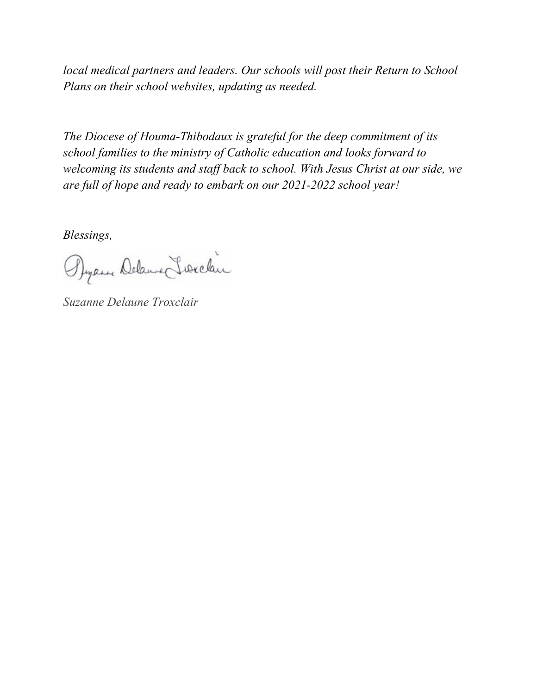*local medical partners and leaders. Our schools will post their Return to School Plans on their school websites, updating as needed.* 

*The Diocese of Houma-Thibodaux is grateful for the deep commitment of its school families to the ministry of Catholic education and looks forward to welcoming its students and staff back to school. With Jesus Christ at our side, we are full of hope and ready to embark on our 2021-2022 school year!*

*Blessings,*

Byen Delame Twickin

*Suzanne Delaune Troxclair*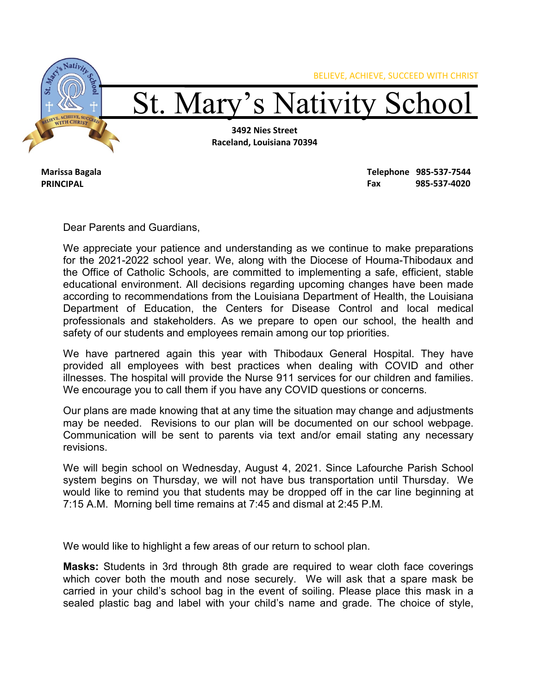

**Marissa Bagala PRINCIPAL**

**Telephone 985-537-7544 Fax 985-537-4020**

Dear Parents and Guardians,

We appreciate your patience and understanding as we continue to make preparations for the 2021-2022 school year. We, along with the Diocese of Houma-Thibodaux and the Office of Catholic Schools, are committed to implementing a safe, efficient, stable educational environment. All decisions regarding upcoming changes have been made according to recommendations from the Louisiana Department of Health, the Louisiana Department of Education, the Centers for Disease Control and local medical professionals and stakeholders. As we prepare to open our school, the health and safety of our students and employees remain among our top priorities.

We have partnered again this year with Thibodaux General Hospital. They have provided all employees with best practices when dealing with COVID and other illnesses. The hospital will provide the Nurse 911 services for our children and families. We encourage you to call them if you have any COVID questions or concerns.

Our plans are made knowing that at any time the situation may change and adjustments may be needed. Revisions to our plan will be documented on our school webpage. Communication will be sent to parents via text and/or email stating any necessary revisions.

We will begin school on Wednesday, August 4, 2021. Since Lafourche Parish School system begins on Thursday, we will not have bus transportation until Thursday. We would like to remind you that students may be dropped off in the car line beginning at 7:15 A.M. Morning bell time remains at 7:45 and dismal at 2:45 P.M.

We would like to highlight a few areas of our return to school plan.

**Masks:** Students in 3rd through 8th grade are required to wear cloth face coverings which cover both the mouth and nose securely. We will ask that a spare mask be carried in your child's school bag in the event of soiling. Please place this mask in a sealed plastic bag and label with your child's name and grade. The choice of style,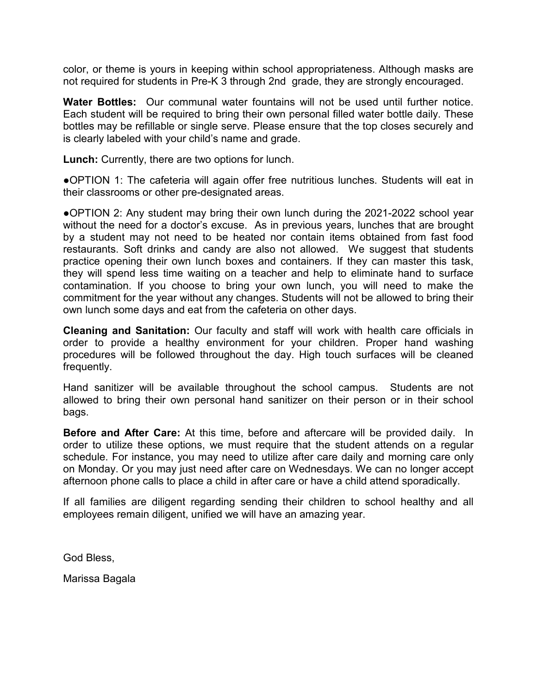color, or theme is yours in keeping within school appropriateness. Although masks are not required for students in Pre-K 3 through 2nd grade, they are strongly encouraged.

**Water Bottles:** Our communal water fountains will not be used until further notice. Each student will be required to bring their own personal filled water bottle daily. These bottles may be refillable or single serve. Please ensure that the top closes securely and is clearly labeled with your child's name and grade.

**Lunch:** Currently, there are two options for lunch.

●OPTION 1: The cafeteria will again offer free nutritious lunches. Students will eat in their classrooms or other pre-designated areas.

●OPTION 2: Any student may bring their own lunch during the 2021-2022 school year without the need for a doctor's excuse. As in previous years, lunches that are brought by a student may not need to be heated nor contain items obtained from fast food restaurants. Soft drinks and candy are also not allowed. We suggest that students practice opening their own lunch boxes and containers. If they can master this task, they will spend less time waiting on a teacher and help to eliminate hand to surface contamination. If you choose to bring your own lunch, you will need to make the commitment for the year without any changes. Students will not be allowed to bring their own lunch some days and eat from the cafeteria on other days.

**Cleaning and Sanitation:** Our faculty and staff will work with health care officials in order to provide a healthy environment for your children. Proper hand washing procedures will be followed throughout the day. High touch surfaces will be cleaned frequently.

Hand sanitizer will be available throughout the school campus. Students are not allowed to bring their own personal hand sanitizer on their person or in their school bags.

**Before and After Care:** At this time, before and aftercare will be provided daily. In order to utilize these options, we must require that the student attends on a regular schedule. For instance, you may need to utilize after care daily and morning care only on Monday. Or you may just need after care on Wednesdays. We can no longer accept afternoon phone calls to place a child in after care or have a child attend sporadically.

If all families are diligent regarding sending their children to school healthy and all employees remain diligent, unified we will have an amazing year.

God Bless,

Marissa Bagala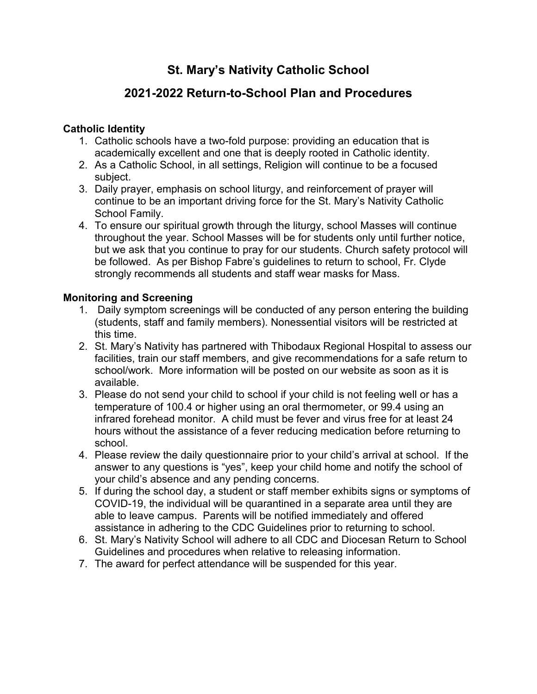### **St. Mary's Nativity Catholic School**

### **2021-2022 Return-to-School Plan and Procedures**

#### **Catholic Identity**

- 1. Catholic schools have a two-fold purpose: providing an education that is academically excellent and one that is deeply rooted in Catholic identity.
- 2. As a Catholic School, in all settings, Religion will continue to be a focused subject.
- 3. Daily prayer, emphasis on school liturgy, and reinforcement of prayer will continue to be an important driving force for the St. Mary's Nativity Catholic School Family.
- 4. To ensure our spiritual growth through the liturgy, school Masses will continue throughout the year. School Masses will be for students only until further notice, but we ask that you continue to pray for our students. Church safety protocol will be followed. As per Bishop Fabre's guidelines to return to school, Fr. Clyde strongly recommends all students and staff wear masks for Mass.

#### **Monitoring and Screening**

- 1. Daily symptom screenings will be conducted of any person entering the building (students, staff and family members). Nonessential visitors will be restricted at this time.
- 2. St. Mary's Nativity has partnered with Thibodaux Regional Hospital to assess our facilities, train our staff members, and give recommendations for a safe return to school/work. More information will be posted on our website as soon as it is available.
- 3. Please do not send your child to school if your child is not feeling well or has a temperature of 100.4 or higher using an oral thermometer, or 99.4 using an infrared forehead monitor. A child must be fever and virus free for at least 24 hours without the assistance of a fever reducing medication before returning to school.
- 4. Please review the daily questionnaire prior to your child's arrival at school. If the answer to any questions is "yes", keep your child home and notify the school of your child's absence and any pending concerns.
- 5. If during the school day, a student or staff member exhibits signs or symptoms of COVID-19, the individual will be quarantined in a separate area until they are able to leave campus. Parents will be notified immediately and offered assistance in adhering to the CDC Guidelines prior to returning to school.
- 6. St. Mary's Nativity School will adhere to all CDC and Diocesan Return to School Guidelines and procedures when relative to releasing information.
- 7. The award for perfect attendance will be suspended for this year.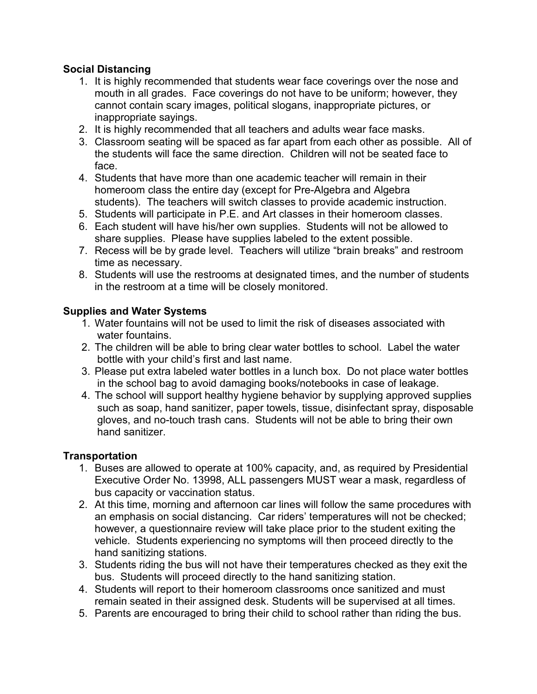#### **Social Distancing**

- 1. It is highly recommended that students wear face coverings over the nose and mouth in all grades. Face coverings do not have to be uniform; however, they cannot contain scary images, political slogans, inappropriate pictures, or inappropriate sayings.
- 2. It is highly recommended that all teachers and adults wear face masks.
- 3. Classroom seating will be spaced as far apart from each other as possible. All of the students will face the same direction. Children will not be seated face to face.
- 4. Students that have more than one academic teacher will remain in their homeroom class the entire day (except for Pre-Algebra and Algebra students). The teachers will switch classes to provide academic instruction.
- 5. Students will participate in P.E. and Art classes in their homeroom classes.
- 6. Each student will have his/her own supplies. Students will not be allowed to share supplies. Please have supplies labeled to the extent possible.
- 7. Recess will be by grade level. Teachers will utilize "brain breaks" and restroom time as necessary.
- 8. Students will use the restrooms at designated times, and the number of students in the restroom at a time will be closely monitored.

#### **Supplies and Water Systems**

- 1. Water fountains will not be used to limit the risk of diseases associated with water fountains.
- 2. The children will be able to bring clear water bottles to school. Label the water bottle with your child's first and last name.
- 3. Please put extra labeled water bottles in a lunch box. Do not place water bottles in the school bag to avoid damaging books/notebooks in case of leakage.
- 4. The school will support healthy hygiene behavior by supplying approved supplies such as soap, hand sanitizer, paper towels, tissue, disinfectant spray, disposable gloves, and no-touch trash cans. Students will not be able to bring their own hand sanitizer.

#### **Transportation**

- 1. Buses are allowed to operate at 100% capacity, and, as required by Presidential Executive Order No. 13998, ALL passengers MUST wear a mask, regardless of bus capacity or vaccination status.
- 2. At this time, morning and afternoon car lines will follow the same procedures with an emphasis on social distancing. Car riders' temperatures will not be checked; however, a questionnaire review will take place prior to the student exiting the vehicle. Students experiencing no symptoms will then proceed directly to the hand sanitizing stations.
- 3. Students riding the bus will not have their temperatures checked as they exit the bus. Students will proceed directly to the hand sanitizing station.
- 4. Students will report to their homeroom classrooms once sanitized and must remain seated in their assigned desk. Students will be supervised at all times.
- 5. Parents are encouraged to bring their child to school rather than riding the bus.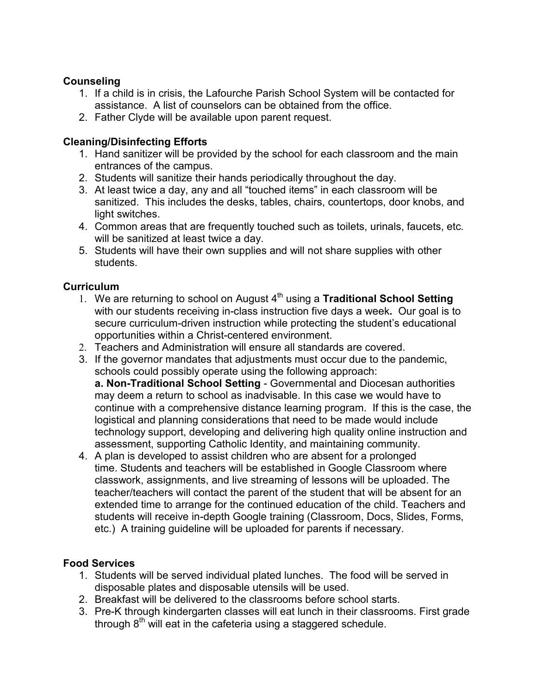#### **Counseling**

- 1. If a child is in crisis, the Lafourche Parish School System will be contacted for assistance. A list of counselors can be obtained from the office.
- 2. Father Clyde will be available upon parent request.

#### **Cleaning/Disinfecting Efforts**

- 1. Hand sanitizer will be provided by the school for each classroom and the main entrances of the campus.
- 2. Students will sanitize their hands periodically throughout the day.
- 3. At least twice a day, any and all "touched items" in each classroom will be sanitized. This includes the desks, tables, chairs, countertops, door knobs, and light switches.
- 4. Common areas that are frequently touched such as toilets, urinals, faucets, etc. will be sanitized at least twice a day.
- 5. Students will have their own supplies and will not share supplies with other students.

#### **Curriculum**

- 1. We are returning to school on August 4<sup>th</sup> using a **Traditional School Setting** with our students receiving in-class instruction five days a week**.** Our goal is to secure curriculum-driven instruction while protecting the student's educational opportunities within a Christ-centered environment.
- 2. Teachers and Administration will ensure all standards are covered.
- 3. If the governor mandates that adjustments must occur due to the pandemic, schools could possibly operate using the following approach: **a. Non-Traditional School Setting** - Governmental and Diocesan authorities may deem a return to school as inadvisable. In this case we would have to continue with a comprehensive distance learning program. If this is the case, the logistical and planning considerations that need to be made would include technology support, developing and delivering high quality online instruction and assessment, supporting Catholic Identity, and maintaining community.
- 4. A plan is developed to assist children who are absent for a prolonged time. Students and teachers will be established in Google Classroom where classwork, assignments, and live streaming of lessons will be uploaded. The teacher/teachers will contact the parent of the student that will be absent for an extended time to arrange for the continued education of the child. Teachers and students will receive in-depth Google training (Classroom, Docs, Slides, Forms, etc.) A training guideline will be uploaded for parents if necessary.

#### **Food Services**

- 1. Students will be served individual plated lunches. The food will be served in disposable plates and disposable utensils will be used.
- 2. Breakfast will be delivered to the classrooms before school starts.
- 3. Pre-K through kindergarten classes will eat lunch in their classrooms. First grade through  $8<sup>th</sup>$  will eat in the cafeteria using a staggered schedule.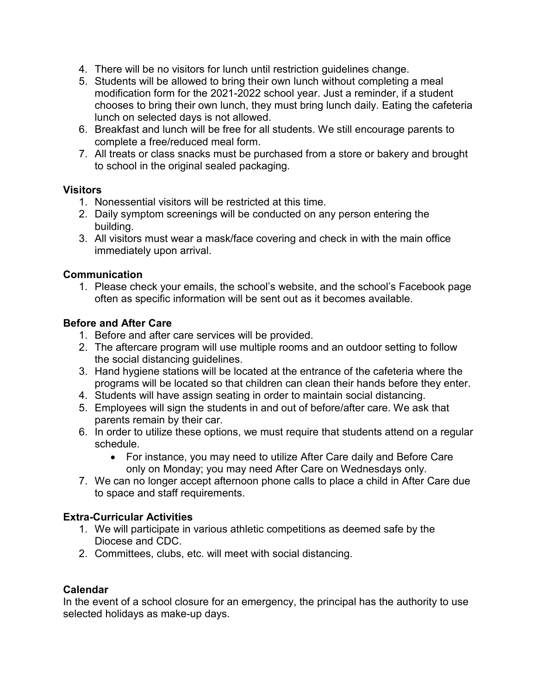- 4. There will be no visitors for lunch until restriction guidelines change.
- 5. Students will be allowed to bring their own lunch without completing a meal modification form for the 2021-2022 school year. Just a reminder, if a student chooses to bring their own lunch, they must bring lunch daily. Eating the cafeteria lunch on selected days is not allowed.
- 6. Breakfast and lunch will be free for all students. We still encourage parents to complete a free/reduced meal form.
- 7. All treats or class snacks must be purchased from a store or bakery and brought to school in the original sealed packaging.

#### **Visitors**

- 1. Nonessential visitors will be restricted at this time.
- 2. Daily symptom screenings will be conducted on any person entering the building.
- 3. All visitors must wear a mask/face covering and check in with the main office immediately upon arrival.

#### **Communication**

1. Please check your emails, the school's website, and the school's Facebook page often as specific information will be sent out as it becomes available.

#### **Before and After Care**

- 1. Before and after care services will be provided.
- 2. The aftercare program will use multiple rooms and an outdoor setting to follow the social distancing guidelines.
- 3. Hand hygiene stations will be located at the entrance of the cafeteria where the programs will be located so that children can clean their hands before they enter.
- 4. Students will have assign seating in order to maintain social distancing.
- 5. Employees will sign the students in and out of before/after care. We ask that parents remain by their car.
- 6. In order to utilize these options, we must require that students attend on a regular schedule.
	- For instance, you may need to utilize After Care daily and Before Care only on Monday; you may need After Care on Wednesdays only.
- 7. We can no longer accept afternoon phone calls to place a child in After Care due to space and staff requirements.

#### **Extra-Curricular Activities**

- 1. We will participate in various athletic competitions as deemed safe by the Diocese and CDC.
- 2. Committees, clubs, etc. will meet with social distancing.

#### **Calendar**

In the event of a school closure for an emergency, the principal has the authority to use selected holidays as make-up days.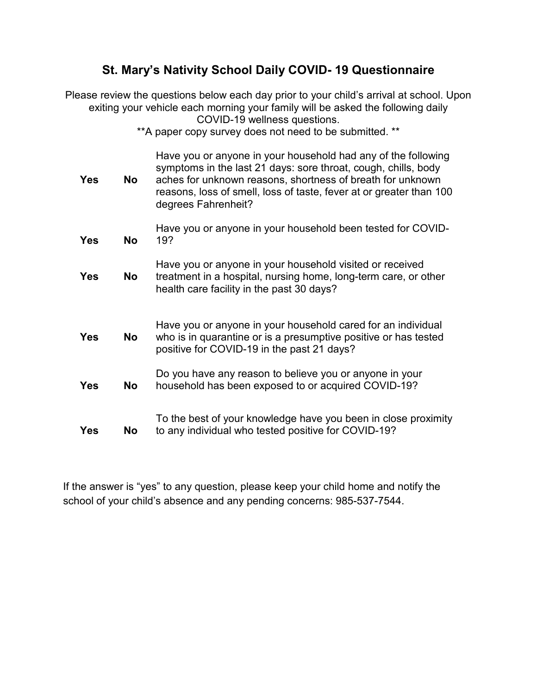### **St. Mary's Nativity School Daily COVID- 19 Questionnaire**

Please review the questions below each day prior to your child's arrival at school. Upon exiting your vehicle each morning your family will be asked the following daily COVID-19 wellness questions.

\*\*A paper copy survey does not need to be submitted. \*\*

| <b>Yes</b> | <b>No</b> | Have you or anyone in your household had any of the following<br>symptoms in the last 21 days: sore throat, cough, chills, body<br>aches for unknown reasons, shortness of breath for unknown<br>reasons, loss of smell, loss of taste, fever at or greater than 100<br>degrees Fahrenheit? |  |
|------------|-----------|---------------------------------------------------------------------------------------------------------------------------------------------------------------------------------------------------------------------------------------------------------------------------------------------|--|
| <b>Yes</b> | <b>No</b> | Have you or anyone in your household been tested for COVID-<br>19?                                                                                                                                                                                                                          |  |
| <b>Yes</b> | <b>No</b> | Have you or anyone in your household visited or received<br>treatment in a hospital, nursing home, long-term care, or other<br>health care facility in the past 30 days?                                                                                                                    |  |
| <b>Yes</b> | No        | Have you or anyone in your household cared for an individual<br>who is in quarantine or is a presumptive positive or has tested<br>positive for COVID-19 in the past 21 days?                                                                                                               |  |
| <b>Yes</b> | <b>No</b> | Do you have any reason to believe you or anyone in your<br>household has been exposed to or acquired COVID-19?                                                                                                                                                                              |  |
| <b>Yes</b> | No        | To the best of your knowledge have you been in close proximity<br>to any individual who tested positive for COVID-19?                                                                                                                                                                       |  |

If the answer is "yes" to any question, please keep your child home and notify the school of your child's absence and any pending concerns: 985-537-7544.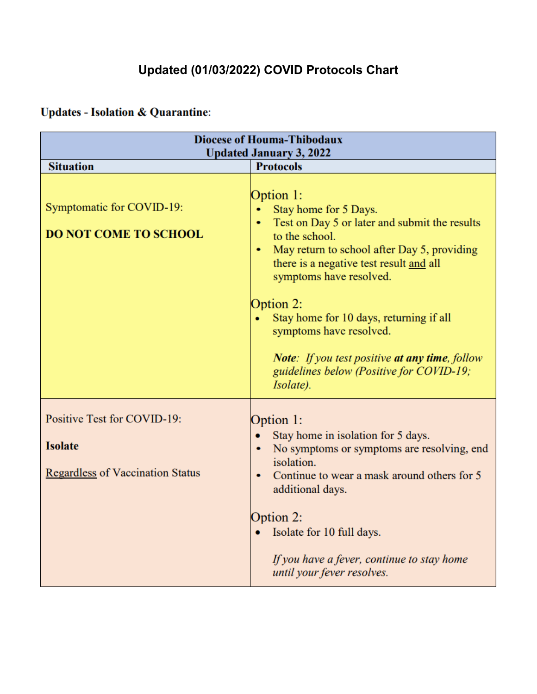# **Updated (01/03/2022) COVID Protocols Chart**

### **Updates - Isolation & Quarantine:**

| <b>Diocese of Houma-Thibodaux</b>                                                        |                                                                                                                                                                                                                                                                                                                                                                                                                                              |  |  |
|------------------------------------------------------------------------------------------|----------------------------------------------------------------------------------------------------------------------------------------------------------------------------------------------------------------------------------------------------------------------------------------------------------------------------------------------------------------------------------------------------------------------------------------------|--|--|
| <b>Updated January 3, 2022</b>                                                           |                                                                                                                                                                                                                                                                                                                                                                                                                                              |  |  |
| <b>Situation</b>                                                                         | <b>Protocols</b>                                                                                                                                                                                                                                                                                                                                                                                                                             |  |  |
| Symptomatic for COVID-19:<br><b>DO NOT COME TO SCHOOL</b>                                | Option 1:<br>Stay home for 5 Days.<br>Test on Day 5 or later and submit the results<br>to the school.<br>May return to school after Day 5, providing<br>$\bullet$<br>there is a negative test result and all<br>symptoms have resolved.<br>Option 2:<br>Stay home for 10 days, returning if all<br>symptoms have resolved.<br><b>Note:</b> If you test positive at any time, follow<br>guidelines below (Positive for COVID-19;<br>Isolate). |  |  |
| Positive Test for COVID-19:<br><b>Isolate</b><br><b>Regardless of Vaccination Status</b> | Option 1:<br>Stay home in isolation for 5 days.<br>No symptoms or symptoms are resolving, end<br>isolation.<br>Continue to wear a mask around others for 5<br>additional days.<br>Option 2:<br>Isolate for 10 full days.<br>If you have a fever, continue to stay home<br>until your fever resolves.                                                                                                                                         |  |  |